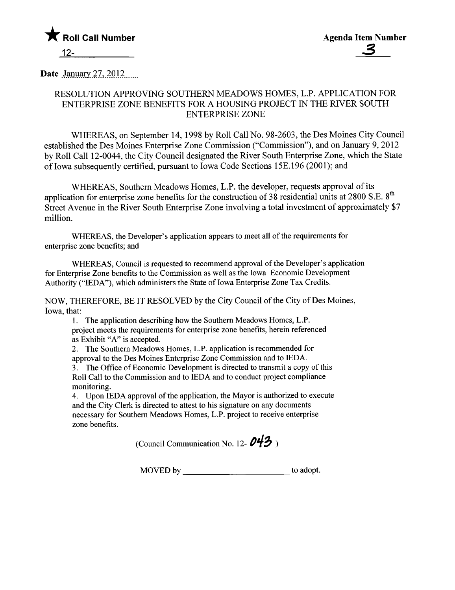

Date  $January 27, 2012$ <sub>.....</sub>

# RESOLUTION APPROVING SOUTHERN MEADOWS HOMES, L.P. APPLICATION FOR ENTERPRISE ZONE BENEFITS FOR A HOUSING PROJECT IN THE RIVER SOUTH ENTERPRISE ZONE

WHEREAS, on September 14, 1998 by Roll Call No. 98-2603, the Des Moines City Council established the Des Moines Enterprise Zone Commission ("Commission"), and on January 9, 2012 by Roll Call 12-0044, the City Council designated the River South Enterprise Zone, which the State of Iowa subsequently certified, pursuant to Iowa Code Sections 15E.196 (2001); and

WHEREAS, Southern Meadows Homes, L.P. the developer, requests approval of its application for enterprise zone benefits for the construction of 38 residential units at 2800 S.E. 8<sup>th</sup> Street Avenue in the River South Enterprise Zone involving a total investment of approximately \$7 milion.

WHREAS, the Developer's application appears to meet all of the requirements for enterprise zone benefits; and

WHEREAS, Council is requested to recommend approval of the Developer's application for Enterprise Zone benefits to the Commission as well as the Iowa Economic Development Authority ("IEDA"), which administers the State of Iowa Enterprise Zone Tax Credits.

NOW, THEREFORE, BE IT RESOLVED by the City Council of the City of Des Moines, Iowa, that:

i. The application describing how the Southern Meadows Homes, L.P. project meets the requirements for enterprise zone benefits, herein referenced as Exhibit "A" is accepted.

2. The Southern Meadows Homes, L.P. application is recommended for approval to the Des Moines Enterprise Zone Commission and to IEDA. 3. The Office of Economic Development is directed to transmit a copy of this Roll Call to the Commission and to IEDA and to conduct project compliance monitoring.

4. Upon IEDA approval of the application, the Mayor is authorized to execute and the City Clerk is directed to attest to his signature on any documents necessary for Southern Meadows Homes, L.P. project to receive enterprise zone benefits.

(Council Communication No. 12- $O$ 43)

MOVED by to adopt.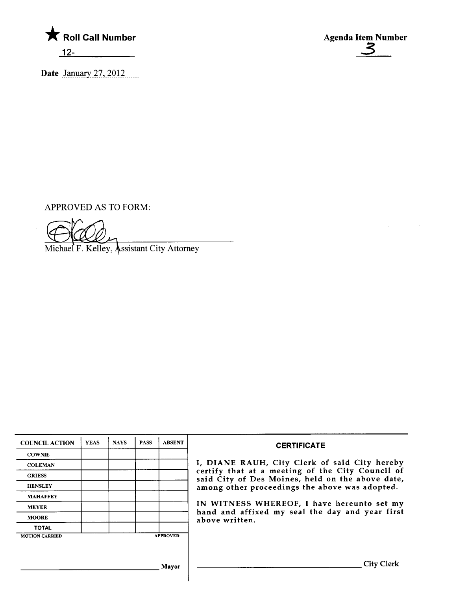

Date January  $27,2012$ 

Agenda Item Number

APPROVED AS TO FORM:

Michael F. Kelley, Assistant City Attorney

| <b>COUNCIL ACTION</b> | <b>YEAS</b> | <b>NAYS</b> | <b>PASS</b> | <b>ABSENT</b>   | <b>CERTIFICATE</b>                                                                                   |
|-----------------------|-------------|-------------|-------------|-----------------|------------------------------------------------------------------------------------------------------|
| <b>COWNIE</b>         |             |             |             |                 |                                                                                                      |
| <b>COLEMAN</b>        |             |             |             |                 | I, DIANE RAUH, City Clerk of said City hereby                                                        |
| <b>GRIESS</b>         |             |             |             |                 | certify that at a meeting of the City Council of<br>said City of Des Moines, held on the above date, |
| <b>HENSLEY</b>        |             |             |             |                 | among other proceedings the above was adopted.                                                       |
| <b>MAHAFFEY</b>       |             |             |             |                 |                                                                                                      |
| <b>MEYER</b>          |             |             |             |                 | IN WITNESS WHEREOF, I have hereunto set my<br>hand and affixed my seal the day and year first        |
| <b>MOORE</b>          |             |             |             |                 | above written.                                                                                       |
| <b>TOTAL</b>          |             |             |             |                 |                                                                                                      |
| <b>MOTION CARRIED</b> |             |             |             | <b>APPROVED</b> |                                                                                                      |
|                       |             |             |             |                 |                                                                                                      |
|                       |             |             |             | Mayor           | City Clerk                                                                                           |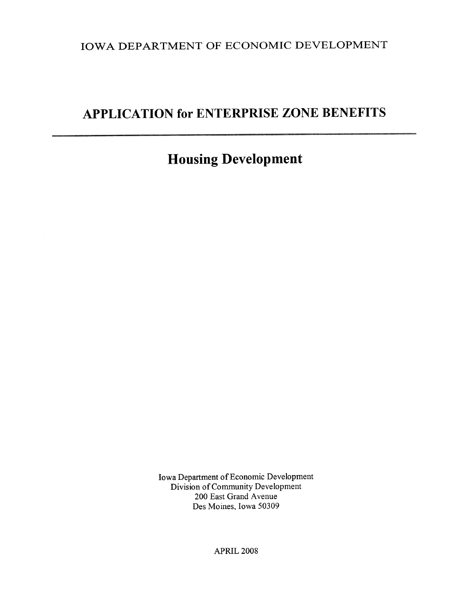IOWA DEPARTMENT OF ECONOMIC DEVELOPMENT

# APPLICATION for ENTERPRISE ZONE BENEFITS

# Housing Development

Iowa Deparment of Economic Development Division of Community Development 200 East Grand Avenue Des Moines, Iowa 50309

APRIL 2008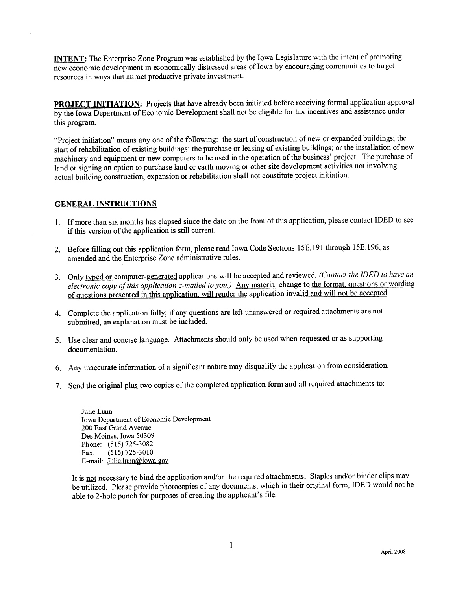INTENT: The Enterprise Zone Program was established by the Iowa Legislatue with the intent of promoting new economic development in economically distressed areas of Iowa by encouraging communities to target resources in ways that attact productive private investment.

PROJECT INITIATION: Projects that have already been initiated before receiving formal application approval by the Iowa Department of Economic Development shall not be eligible for tax incentives and assistance under this program.

"Project initiation" means anyone of the following: the start of construction of new or expanded buildings; the start of rehabilitation of existing buildings; the purchase or leasing of existing buildings; or the installation of new machinery and equipment or new computers to be used in the operation of the business' project. The purchase of land or signing an option to purchase land or earth moving or other site development activities not involving actual building construction, expansion or rehabilitation shall not constitute project initiation.

### **GENERAL INSTRUCTIONS**

- 1. If more than six months has elapsed since the date on the front of this application, please contact IDED to see if this version of the application is stil current.
- 2. Before filling out this application form, please read Iowa Code Sections 15E.191 through 15E.196, as amended and the Enterprise Zone administrative rules.
- 3. Only typed or computer-generated applications will be accepted and reviewed. (Contact the IDED to have an electronic copy of this application e-mailed to you.) Any material change to the format. questions or wording of questions presented in this application, will render the application invalid and will not be accepted.
- 4. Complete the application fully; if any questions are left unanswered or required attachments are not submitted, an explanation must be included.
- 5. Use clear and concise languge. Attachments should only be used when requested or as supporting documentation.
- 6. Any inaccurate information of a significant nature may disqualify the application from consideration.
- 7. Send the original plus two copies of the completed application form and aU required attachments to:

Julie Lunn Iowa Department of Economic Development 200 East Grand Avenue Des Moines, Iowa 50309 Phone: (515) 725-3082 Fax: (515) 725-3010 E-mail: Julie.lunn@iowa.gov

It is not necessary to bind the application and/or the required attachments. Staples and/or binder clips may be utilized. Please provide photocopies of any documents, which in their original form, IDED would not be able to 2-hole punch for purposes of creating the applicant's fie.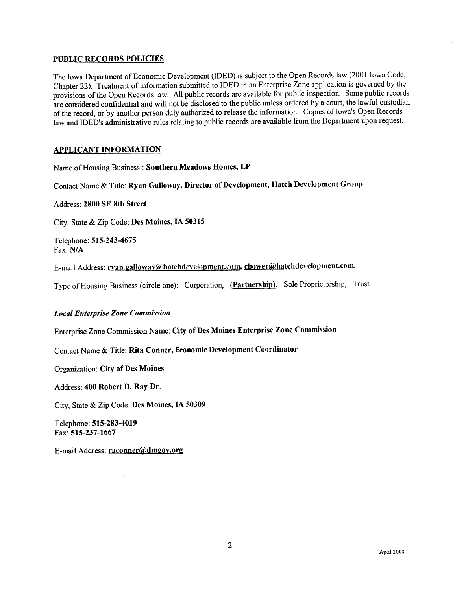#### PUBLIC RECORDS POLICIES

The Iowa Department of Economic Development (IDED) is subject to the Open Records law (2001 Iowa Code, Chapter 22). Treatment of information submitted to IDED in an Enterprise Zone application is govered by the provisions of the Open Records law. All public records are available for public inspection. Some public records are considered confidential and will not be disclosed to the public unless ordered by a court, the lawful custodian of the record, or by another person duly authorized to release the information. Copies of Iowa's Open Records law and IDED's administrative rules relating to public records are available from the Department upon request.

#### APPLICANT INFORMATION

Name of Housing Business: Southern Meadows Homes, LP

Contact Name & Title: Ryan Galloway, Director of Development, Hatch Development Group

Address: 2800 SE 8th Street

City, State & Zip Code: Des Moines, IA 50315

Telephone: 515-243-4675 Fax: N/A

E-mail Address: rvan.galloway@hatchdevelopment.com, cbower@hatchdevelopment.com,

Type of Housing Business (circle one): Corporation, (Partnership), Sole Proprietorship, Trust

#### Local Enterprise Zone Commission

Enterprise Zone Commssion Name: City of Des Moines Enterprise Zone Commission

Contact Name & Title: Rita Conner, Economic Development Coordinator

Organization: City of Des Moines

Address: 400 Robert D. Ray Dr.

City, State & Zip Code: Des Moines, IA 50309

Telephone: 515-283-4019 Fax: 515-237-1667

E-mail Address: raconner@dmgov.org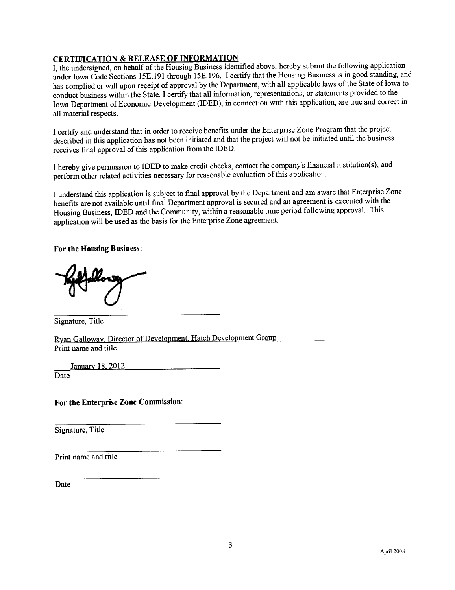# CERTIFICATION & RELEASE OF INFORMATION

I, the undersigned, on behalf of the Housing Business identified above, hereby submit the following application under Iowa Code Sections 15E.191 through 15E.196. I certify that the Housing Business is in good standing, and has complied or will upon receipt of approval by the Department, with all applicable laws of the State of Iowa to conduct business within the State. I certify that all information, representations, or statements provided to the Iowa Department of Economic Development (IDED), in connection with this application, are true and correct in all material respects.

I certify and understand that in order to receive benefits under the Enterprise Zone Program that the project described in this application has not been initiated and that the project will not be initiated until the business receives final approval of this application from the IDED.

I hereby give permission to IDED to make credit checks, contact the company's financial institution(s), and perform other related activities necessary for reasonable evaluation of this application.

I understand this application is subject to final approval by the Deparment and am aware that Enterrise Zone benefits are not available until final Department approval is secured and an agreement is executed with the Housing Business, IDED and the Community, within a reasonable time period following approvaL. This application wil be used as the basis for the Enterprise Zone agreement.

For the Housing Business:

Signature, Title

Ryan Galloway. Director of Development Hatch Development Group Print name and title

January 18, 2012

Date

For the Enterprise Zone Commision:

Signatue, Title

Print name and title

Date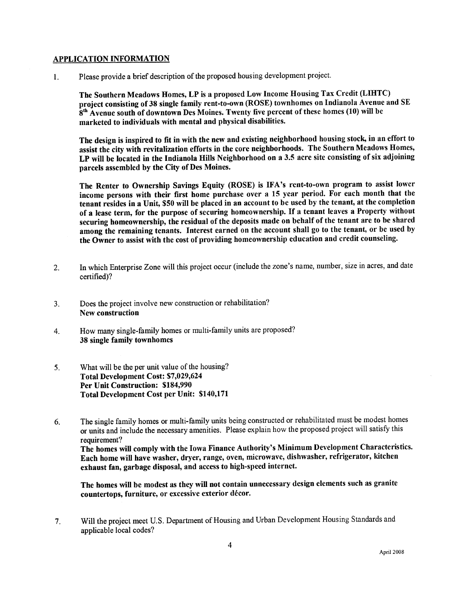#### APPLICATION INFORMATION

1. Please provide a brief description of the proposed housing development project.

The Southern Meadows Homes, LP is a proposed Low Income Housing Tax Credit (LIHTC) project consisting of 38 single family rent-to-own (ROSE) townhomes on Indianola Avenue and SE 8<sup>th</sup> Avenue south of downtown Des Moines. Twenty five percent of these homes (10) will be marketed to individuals with mental and physical disabilties.

The design is inspired to fit in with the new and existing neighborhood housing stock, in an effort to assist the city with revitalization efforts in the core neighborhoods. The Southern Meadows Homes, LP will be located in the Indianola Hills Neighborhood on a 3.5 acre site consisting of six adjoining parcels assembled by the City of Des Moines.

The Renter to Ownership Savings Equity (ROSE) is IFA's rent-to-own program to assist lower income persons with their first home purchase over a 15 year period. For each month that the tenant resides in a Unit, \$50 wil be placed in an account to be used by the tenant, at the completion of a lease term, for the purpose of securing homeownership. If a tenant leaves a Property without securing homeownership, the residual of the deposits made on behalf of the tenant are to be shared among the remaining tenants. Interest earned on the account shall go to the tenant, or be used by the Owner to assist with the cost of providing homeowners hip education and credit counseling.

- 2. In which Enterprise Zone will this project occur (include the zone's name, number, size in acres, and date certified)?
- 3. Does the project involve new construction or rehabilitation? New construction
- 4. How many single-family homes or multi-family units are proposed? 38 single family townhomes
- 5. What will be the per unit value of the housing? Total Development Cost: \$7,029,624 Per Unit Construction: \$184,990 Total Development Cost per Unit: \$140,171
- 6. The single family homes or multi-family units being constructed or rehabilitated must be modest homes or units and include the necessary amenities. Please explain how the proposed project wil satisfy this requirement? The homes wil comply with the Iowa Finance Authority's Minimum Development Characteristics. Each home wil have washer, dryer, range, oven, microwave, dishwasher, refrigerator, kitchen exhaust fan, garbage disposal, and access to high-speed internet.

The homes will be modest as they will not contain unnecessary design elements such as granite countertops, furniture, or excessive exterior décor.

7. Wil the project meet U.S. Department of Housing and Urban Development Housing Standards and applicable local codes?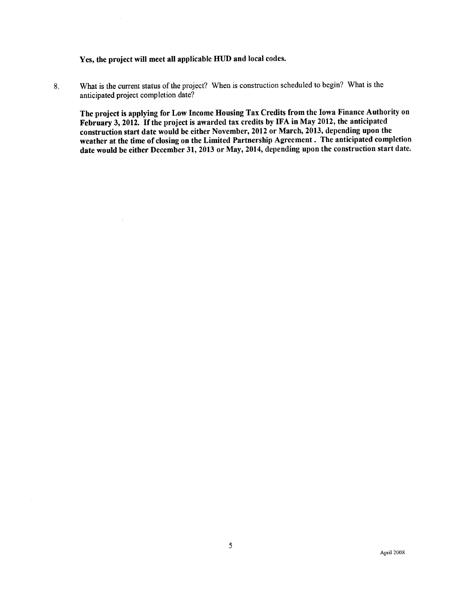Yes, the project will meet all applicable HUD and local codes.

8. What is the current status of the project? When is construction scheduled to begin? What is the anticipated project completion date?

The project is applying for Low Income Housing Tax Credits from the Iowa Finance Authority on February 3, 2012. If the project is awarded tax credits by IFA in May 2012, the anticipated construction start date would be either November, 2012 or March, 2013, depending upon the weather at the time of closing on the Limited Partnership Agreement. The anticipated completion date would be either December 31, 2013 or May, 2014, depending upon the construction start date.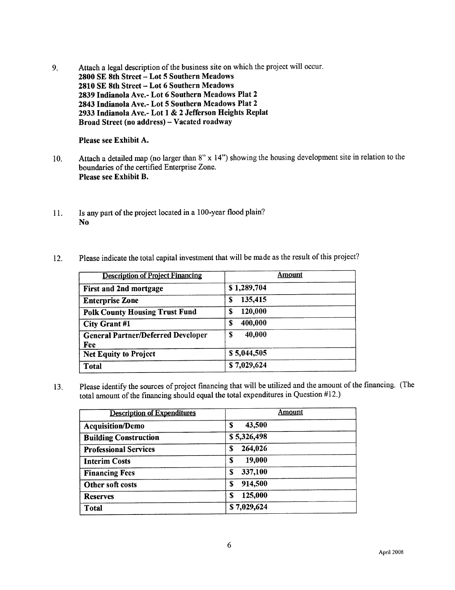9. Attach a legal description of the business site on which the project wil occur. 2800 SE 8th Street - Lot 5 Southern Meadows 2810 SE 8th Street - Lot 6 Southern Meadows 2839 Indianola Ave.- Lot 6 Southern Meadows Plat 2 2843 Indianola Ave.- Lot 5 Southern Meadows Plat 2 2933 Indianola Ave.- Lot 1 & 2 Jefferson Heights Replat Broad Street (no address) - Vacated roadway

Please see Exhibit A.

- 10. Attach a detailed map (no larger than 8" x 14") showing the housing development site in relation to the boundaries of the certified Enterprise Zone. Please see Exhibit B.
- 11. Is any part of the project located in a 100-year flood plain? No
- 12. Please indicate the total capital investment that wil be made as the result of this project?

| <b>Description of Project Financing</b>          | Amount       |
|--------------------------------------------------|--------------|
| <b>First and 2nd mortgage</b>                    | \$1,289,704  |
| <b>Enterprise Zone</b>                           | 135,415<br>S |
| <b>Polk County Housing Trust Fund</b>            | 120,000<br>S |
| <b>City Grant #1</b>                             | 400,000<br>S |
| <b>General Partner/Deferred Developer</b><br>Fee | 40,000<br>\$ |
| <b>Net Equity to Project</b>                     | \$5,044,505  |
| <b>Total</b>                                     | \$7,029,624  |

13. Please identify the sources of project financing that will be utilized and the amount of the financing. (The total amount of the finacing should equal the total expenditures in Question #12.)

| <b>Description of Expenditures</b> | Amount       |
|------------------------------------|--------------|
| <b>Acquisition/Demo</b>            | 43,500<br>S  |
| <b>Building Construction</b>       | \$5,326,498  |
| <b>Professional Services</b>       | 264,026<br>S |
| <b>Interim Costs</b>               | 19,000<br>S  |
| <b>Financing Fees</b>              | 337,100<br>S |
| Other soft costs                   | 914,500<br>S |
| <b>Reserves</b>                    | 125,000<br>S |
| <b>Total</b>                       | \$7,029,624  |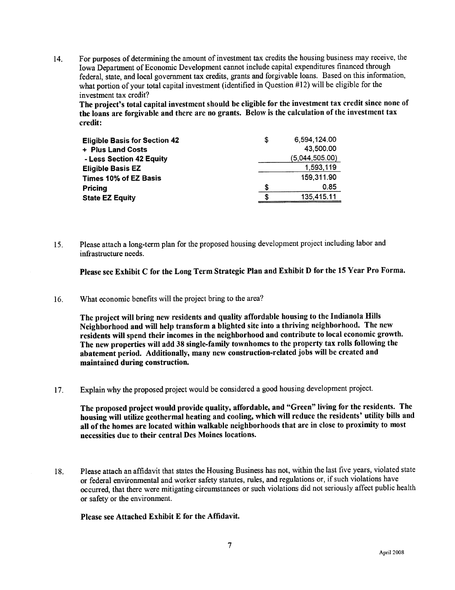14. For purposes of determining the amount of investment tax credits the housing business may receive, the Iowa Department of Economic Development cannot include capital expenditues financed through federal, state, and local government tax credits, grants and forgivable loans. Based on this information, what portion of your total capital investment (identified in Question #12) will be eligible for the investment tax credit?

The project's total capital investment should be eligible for the investment tax credit since none of the loans are forgivable and there are no grants. Below is the calculation of the investment tax credit:

| <b>Eligible Basis for Section 42</b> | S | 6.594.124.00   |
|--------------------------------------|---|----------------|
| + Plus Land Costs                    |   | 43,500.00      |
| - Less Section 42 Equity             |   | (5,044,505.00) |
| <b>Eligible Basis EZ</b>             |   | 1,593,119      |
| Times 10% of EZ Basis                |   | 159,311.90     |
| Pricing                              | S | 0.85           |
| <b>State EZ Equity</b>               | S | 135,415.11     |

15. Please attach a long-term plan for the proposed housing development project including labor and infrastructure needs.

Please see Exhibit C for the Long Term Strategic Plan and Exhibit D for the 15 Year Pro Forma.

16. What economic benefits wil the project bring to the area?

The project will bring new residents and quality affordable housing to the Indianola Hils Neighborhood and will help transform a blighted site into a thriving neighborhood. The new residents will spend their incomes in the neighborhood and contribute to local economic growth. The new properties will add 38 single-family townhomes to the property tax rolls following the abatement period. Additionally, many new construction-related jobs will be created and maintained during construction.

i 7. Explain why the proposed prqject would be considered a good housing development project.

The proposed project would provide quality, affordable, and "Green" living for the residents. The housing will utilize geothermal heating and cooling, which will reduce the residents' utility bills and all of the homes are located within walkable neighborhoods that are in close to proximity to most necessities due to their central Des Moines locations.

18. Please attach an affdavit that states the Housing Business has not, within the last five years, violated state or federal environmental and worker safety statutes, rules, and regulations or, if such violations have occurred, that there were mitigating circumstances or such violations did not seriously affect public health or safety or the environment.

Please see Attached Exhibit E for the Affidavit.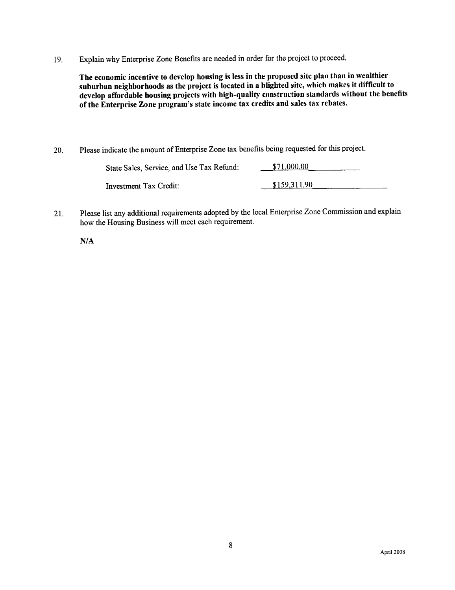19. Explain why Enterprise Zone Benefits are needed in order for the project to proceed.

The economic incentive to develop housing is less in the proposed site plan than in wealthier suburban neighborhoods as the project is located in a blighted site, which makes it difficult to develop affordable housing projects with high-quality construction standards without the benefits of the Enterprise Zone program's state income tax credits and sales tax rebates.

20. Please indicate the amount of Enterprise Zone tax benefits being requested for this project.

| State Sales, Service, and Use Tax Refund: | \$71,000.00  |
|-------------------------------------------|--------------|
| Investment Tax Credit:                    | \$159.311.90 |

21. Please list any additional requirements adopted by the local Enterprise Zone Commission and explain how the Housing Business will meet each requirement.

N/A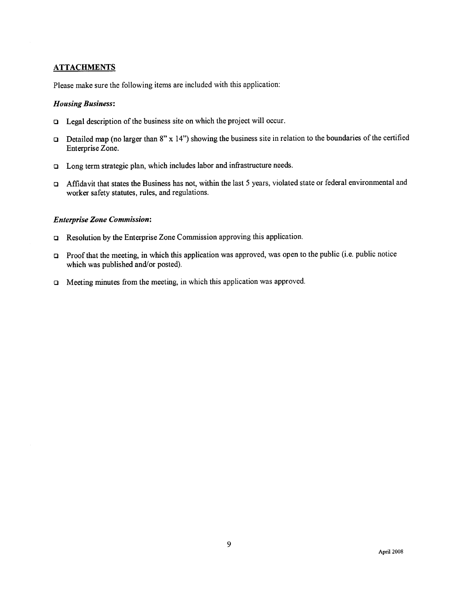# **ATTACHMENTS**

Please make sure the following items are included with this application:

#### Housing Business:

- $\Box$  Legal description of the business site on which the project will occur.
- Detailed map (no larger than 8" x 14") showing the business site in relation to the boundaries of the certified Enterprise Zone.
- I Long term strategic plan, which includes labor and infrastructure needs.
- i: Affidavit that states the Business has not, within the last 5 years, violated state or federal environmental and worker safety statutes, rules, and regulations.

#### Enterprise Zone Commission:

- □ Resolution by the Enterprise Zone Commission approving this application.
- $\Box$  Proof that the meeting, in which this application was approved, was open to the public (i.e. public notice which was published and/or posted).
- $\Box$  Meeting minutes from the meeting, in which this application was approved.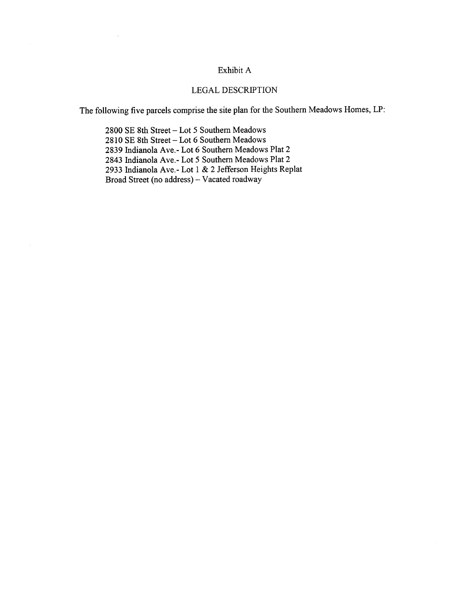# Exhibit A

# LEGAL DESCRIPTION

The following five parcels comprise the site plan for the Southern Meadows Homes, LP:

2800 SE 8th Street - Lot 5 Southern Meadows 2810 SE 8th Street - Lot 6 Southern Meadows 2839 Indianola Ave.- Lot 6 Southern Meadows Plat 2 2843 Indianola Ave.- Lot 5 Southern Meadows Plat 2 2933 Indianola Ave.- Lot 1 & 2 Jefferson Heights Replat Broad Street (no address) -- Vacated roadway

 $\sim$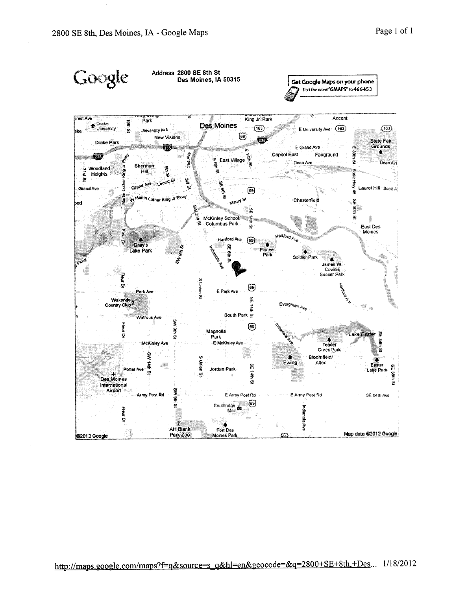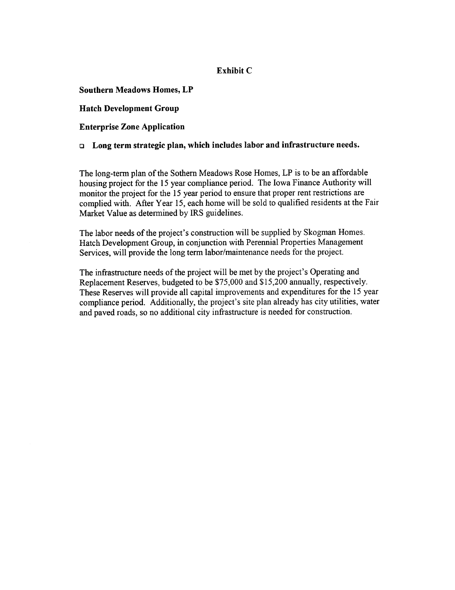# Exhibit C

Southern Meadows Homes, LP

Hatch Development Group

Enterprise Zone Application

 $\Box$  Long term strategic plan, which includes labor and infrastructure needs.

The long-term plan of the Sothern Meadows Rose Homes, LP is to be an affordable housing project for the 15 year compliance period. The Iowa Finance Authority will monitor the project for the 15 year period to ensure that proper rent restrictions are complied with. After Year 15, each home will be sold to qualified residents at the Fair Market Value as determined by IRS guidelines.

The labor needs of the project's construction will be supplied by Skogman Homes. Hatch Development Group, in conjunction with Perennial Properties Management Services, will provide the long term labor/maintenance needs for the project.

The infrastructure needs of the project will be met by the project's Operating and Replacement Reserves, budgeted to be \$75,000 and \$15,200 annually, respectively. These Reserves will provide all capital improvements and expenditures for the 15 year compliance period. Additionally, the project's site plan already has city utilities, water and paved roads, so no additional city infrastructure is needed for construction.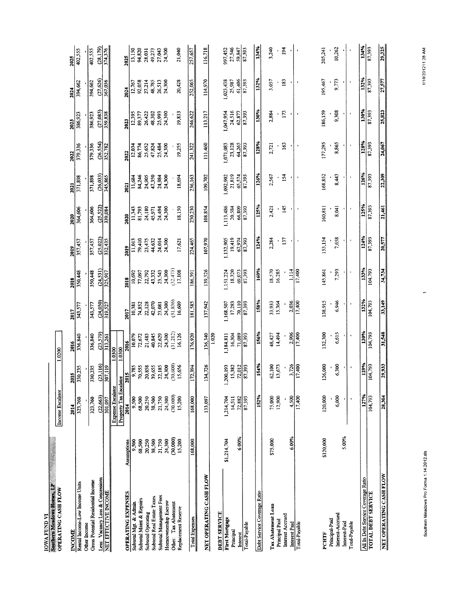| <b>IOWA FUND VI</b>                                |                 |                          |                  |                         |                            |                            |                  |                            |                  |                            |                     |                  |                             |
|----------------------------------------------------|-----------------|--------------------------|------------------|-------------------------|----------------------------|----------------------------|------------------|----------------------------|------------------|----------------------------|---------------------|------------------|-----------------------------|
| Southern Meadows Homes, LP<br>OPERATING CASH FLOW  |                 | Income Escalator         |                  | 1.0200                  |                            |                            |                  |                            |                  |                            |                     |                  |                             |
| <b>INCOME</b>                                      |                 | 2014                     | W)<br>ត្ត        | 2016                    | 2017                       | 2018                       | 2019             | 2020                       | 2021             | 2022                       | 2023                | 2024             | 2025                        |
| Rental Income-Low Income Units                     |                 | 323,760                  | 330,235          | 336,840                 | 343,577                    | 350,448                    | 357,457          | 364,606                    | 371,898          | 379,336                    | 386,923             | 394,662          | 402,555                     |
| Gross Potential Residential Income<br>Other Income |                 | 323,760                  | 330,235          | 336,840                 | 343,577                    | 350,448                    | 357,457          | 364,606                    | 371,898          | 379,336                    | 386,923             | 394,662          | 402,555                     |
| Less: Vacancy Loss & Concessions                   |                 | (22, 663)                | (23, 116)        | (23,579)                |                            |                            | (25, 022)        |                            | (26, 033)        |                            | (27,085)            | (27, 626)        | (28,179)                    |
| NET EFFECTIVE INCOME                               |                 | 301,097                  | 307,119          | 313,261                 | $\frac{(24,050)}{319,527}$ | $\frac{(24,531)}{325,917}$ | 332,435          | $\frac{(25,522)}{339,084}$ | 345,865          | $\frac{(26.554)}{352.782}$ | $\frac{1}{359,838}$ | 367,036          | 374,376                     |
|                                                    |                 | <b>Expense Escalator</b> |                  | 1.0300                  |                            |                            |                  |                            |                  |                            |                     |                  |                             |
|                                                    |                 | Property Tax Escalator   |                  | 1.0300                  |                            |                            |                  |                            |                  |                            |                     |                  |                             |
| <b>OPERATING EXPENSES</b>                          | Assumptions     | 2014                     | ă<br>ន្ត         | 2016                    | 10,381<br>2017             | 2018                       | 11,013<br>2019   | 11,343<br>2020             | 11,684<br>2021   | 12,034<br>2022             | 12,395<br>2023      | 12,767<br>2024   | 13,150<br>2025              |
| Subtotal Maint & Repairs<br>Subtotal Mgt. & Admin  | 68,500<br>9,500 | 68,500<br>9,500          | 9,785<br>70,555  | 10,079<br>72,672        | 74,852                     | 77,097<br>10,692           | 79,410           | 81,793                     | 84,246           | 86,774                     | 89,377              | 92,058           | 94,820                      |
| Subtotal Operating                                 | 20,250          | 20,250                   | 20,858           | 21,483                  | 22,128                     | 22,792                     | 23,475           | 24,180                     | 24,905           | 25,652                     | 26,422              | 27,214           | 28,031                      |
| Subtotal Real Estate Taxes                         | 38,500          | 38,500                   | 39,655           | 40,845                  | 42,070                     | 43,332                     | 44,632           | 45,971                     | 47,350           | 47,824                     | 48,302              | 48,785           | 49,273                      |
| Subtotal Management Fees                           | 21,750          | 21,750                   | 22,185           | 22,629                  | 23,081                     | 23,543                     | 24,014           | 24,494                     | 24,984           | 25,484                     | 25,993              | 26,513           | 27,043                      |
| Homeownership Escrow                               | 24,300          | 24,300                   | 24,300           | 24,300                  | 24,300                     | 24,300                     | 24,300           | 24,300                     | 24,300           | 24,300                     | 24,300              | 24,300           | 24,300                      |
| Other: Tax Abatement                               | (30,000)        | (30,000)                 | (30, 600)        | (31,212)                | $(31.836)$<br>16,609       | $(32,473)$<br>17,108       |                  |                            |                  |                            |                     |                  |                             |
| Replacement Reserve                                | 15,200          | 15,200                   | 15,656           | 16,126                  |                            |                            | 17,621           | 18,150                     | 18,694           | 19,255                     | 19,833              | 20,428           | 21,040                      |
| Total Expenses                                     | 168,000         | 168,000                  | 12,394           | 176,920                 | 181,585                    | 186,391                    | 224,465          | 230,230                    | 236,163          | 241,322                    | 246,622             | 252,065          | 257,657                     |
| NET OPERATING CASH FLOW                            |                 | 133,097                  | 134,726          | 136,340                 | 137,942                    | 139,526                    | 107,970          | 108,854                    | 109,702          | 111,460                    | 113,217             | 114,970          | 116,718                     |
|                                                    |                 |                          |                  | 1.020                   |                            |                            |                  |                            |                  |                            |                     |                  |                             |
| DEBT SERVICE                                       |                 |                          |                  |                         |                            |                            |                  |                            |                  |                            |                     |                  |                             |
| First Mortgage                                     | \$1,214,704     | 1,214,704                | 1,200,193        | 1,184,811               | 1.168,507                  | 1,151.224                  | 1,132,905        | 1,113,486                  | 1,092,902        | 1,071,083                  | 1,047,954           | 1,023,438        |                             |
| Principal                                          | 6.00%           | 14,511<br>72,882         | 15,382<br>72,012 | 16,304                  | 17,283<br>70,110           | 18.320<br>69,073           | 19,419<br>67,974 | 20,584<br>66,809           | 21,819<br>65,574 | 23,128<br>64,265           | 24,516<br>62,877    | 61,406<br>25,987 | 997,452<br>27,546<br>59,847 |
| Total-Payable<br>Interest                          |                 | 87,393                   | 87,393           | $\frac{71,089}{87,393}$ | 87,393                     | 87,393                     | 87,393           | 87,393                     | 87,393           | 87,393                     | 87,393              | 87,393           | 87,393                      |
|                                                    |                 |                          |                  |                         |                            |                            |                  |                            |                  |                            |                     |                  |                             |
| Debt Service Coverage Ratio                        |                 | 152%                     | 154%             | 156%                    | 158%                       | 160%                       | 124%             | 125%                       | 126%             | 128%                       | 130%                | 132%             | 134%                        |
| Tax Abatement Loan                                 | \$75,000        | 75,000                   | 62,100           | 48,427                  | 33,933                     | 18,570                     | 2,284            | 2,421                      | 2,567            | 2,721                      | 2,884               | 3,057            | 3,240                       |
| Principal Paid                                     |                 | 12,900                   | 13,673           | 14,494                  | 15,364                     | 16.285                     |                  |                            |                  |                            |                     | 183              | 194                         |
| <b>Interest Accrued</b><br>Interest Paid           | 6.00%           | 4,500                    | 3,726            | 2,906                   | 2,036                      | 1,114                      | 137              | 145                        | 154              | 163                        | 173                 |                  |                             |
| Total-Payable                                      |                 | 17,400                   | 17,400           | 17,400                  | 17,400                     | 17,400                     | $\blacksquare$   | J,                         | $\blacksquare$   | ×                          |                     | $\,$             |                             |
|                                                    |                 |                          |                  |                         |                            |                            |                  |                            |                  |                            |                     |                  |                             |
| PCHTF                                              | \$120,000       | 120,000                  | 126,000          | 132,300                 | 138,915                    | 145,861                    | 153,154          | 160,811                    | 168,852          | 177,295                    | 186,159             | 195,467          | 205,241                     |
| Principal-Paid                                     |                 | 6,000                    | 6,300            | 6,615                   | 6,946                      | 7,293                      | 7,658            | 8,041                      | 8,443            | 8,865                      | 9,308               | 9,773            | 10,262                      |
| Interest-Accrued<br>Interest-Paid                  | 5.00%           |                          |                  |                         |                            |                            |                  |                            |                  |                            |                     |                  |                             |
| Total-Payable                                      |                 |                          | J,               | $\pmb{\mathfrak{c}}$    |                            |                            | $\bullet$        |                            | $\blacksquare$   |                            |                     |                  |                             |
| All In Debt Service Coverage Ratio                 |                 | 127%                     | 129%             | 130%                    | 132%                       | 133%                       | 124%             | 125%                       | 126%             | 128%                       | 130%                | 132%             | 134%                        |
| TOTAL DEBT SERVICE                                 |                 | 104,793                  | 04,793           | 104,793                 | 104,793                    | 104,793                    | 87,393           | 87,393                     | 87,393           | 87,393                     | 87,393              | 87,393           | 87,393                      |
| NET OPERATING CASH FLOW                            |                 | 28,304                   | 29,933           | 31,548                  | 33,149                     | 34,734                     | <b>20,577</b>    | 21,461                     | 22,309           | 24,067                     | 25,823              | 27,577           | 29,325                      |

 $\overline{a}$ 

Southern Meadows Pro Forma 1:14.2012.xls

1/18/201211:28 AM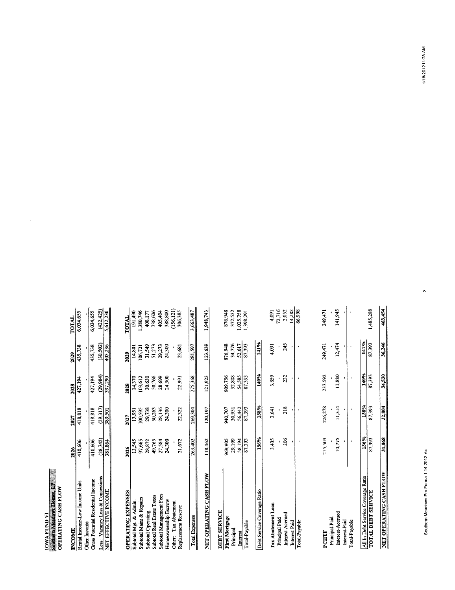# IOWA FUND VI<br>Southern Meadows Homes, LP<br>OPERATING CASH FLOW

| INCOME                                                           | 2026                 | 2027                | 2028                 | 2029                 | TOTAL                   |
|------------------------------------------------------------------|----------------------|---------------------|----------------------|----------------------|-------------------------|
| Rental Income-Low Income Units                                   | 410,606              | 418,818             | 427,194              | 435,738              | 6,034,655               |
| <b>Gross Potential Residential Income</b><br><b>Other</b> Income | 410,606              | 418,818             | 427,194              | 435,738              | 6,034,655               |
|                                                                  |                      |                     |                      |                      |                         |
| Less: Vacancy Loss & Concessions<br>NET EFFECTIVE INCOME         | (28, 742)<br>381,864 | (29,317)<br>389,501 | (29, 904)<br>397,290 | (30, 502)<br>405,236 | (422, 425)<br>5,612,230 |
|                                                                  |                      |                     |                      |                      |                         |
|                                                                  |                      |                     |                      |                      |                         |
| <b>OPERATING EXPENSES</b>                                        | 2026                 | 2027                | 2028                 | 2029                 | <b>TOTAL</b>            |
| Subtotal Mgt. & Admin                                            | 13,545               | 13,951              | 14,370               | 14,801               | 191,490                 |
| Subtotal Maint & Repairs                                         | 97,665               | 100,595             | 103,612              | 106,721              | 1,380,746               |
| Subtotal Operating                                               | 28,872               | 29,738              | 30,630               | 31,549               | 408,177                 |
| Subtotal Real Estate Taxes                                       | 49,765               | 50,263              | 50,766               | 51,273               | 738,606                 |
| Subtotal Management Fees                                         | 27,584               | 28,136              | 28,699               | 29,273               | 405,404                 |
| Homeownership Escrow                                             | 24,300               | 24,300              | 24,300               | 24,300               | 388,800                 |
| Tax Abatement<br>Other:                                          |                      |                     |                      |                      | (156, 121)              |
| Replacement Reserve                                              | 21,672               | 22,322              | 22,991               | 23,681               | 306,385                 |
| <b>Total Expenses</b>                                            | 263,402              | 269,304             | 275,368              | 281,597              | 3,663,487               |
| NET OPERATING CASH FLOW                                          | 118,462              | 120,197             | 121,923              | 123,639              | 1,948,743               |
| <b>DEBT SERVICE</b>                                              |                      |                     |                      |                      |                         |
| First Mortgage                                                   | 969,905              | 940,707             | 909,756              | 876,948              | 876,948                 |
| Principal                                                        | 29,199               | 30,951              | 32,808               | 34,776               | 372,532                 |
| Interest                                                         | 58,194               | 56,442              | 54,585               | 52,617               | 1,025,758               |
| Total-Payable                                                    | 87,393               | 87,393              | 87,393               | 87,393               | 1,398,291               |
| Debt Service Coverage Ratio                                      | 136%                 | 138%                | 140%                 | 141%                 |                         |
| Tax Abatement Loan                                               | 3,435                | 3,641               | 3,859                | 4,091                | 4,091                   |
| Principal Paid                                                   |                      |                     |                      |                      | 72,716                  |
| Interest Accrued                                                 | 206                  | 218                 | 232                  | 245                  | 2,052                   |
| Interest Paid                                                    |                      |                     |                      |                      | 14,282                  |
| Total-Payable                                                    |                      |                     |                      |                      | 86,998                  |
| PCHTF                                                            | 215,503              | 226,278             | 237,592              | 249,471              | 249,471                 |
| Principal-Paid                                                   |                      |                     |                      |                      |                         |
| Interest-Accrued<br>Interest-Paid                                | 10,775               | 11,314              | 11,880               | 12,474               | 141,945                 |
| Total-Payable                                                    | $\blacksquare$       | $\blacksquare$      |                      | $\epsilon$           |                         |
| All In Debt Service Coverage Ratio                               | 136%                 | 138%                | 140%                 | 141%                 |                         |
| <b>TOTAL DEBT SERVICE</b>                                        | 87,393               | 87,393              | 87,393               | 87,393               | 1,485,288               |
| NET OPERATING CASH FLOW                                          | 31,068               | 32,804              | 34,530               | 36,246               | 463,454                 |

 $\sim$